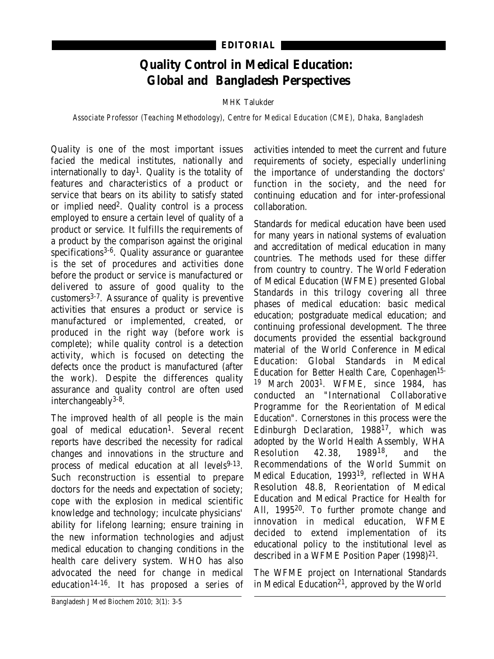## **Quality Control in Medical Education: Global and Bangladesh Perspectives**

MHK Talukder

*Associate Professor (Teaching Methodology), Centre for Medical Education (CME), Dhaka, Bangladesh*

Quality is one of the most important issues facied the medical institutes, nationally and internationally to day<sup>1</sup>. Quality is the totality of features and characteristics of a product or service that bears on its ability to satisfy stated or implied need<sup>2</sup>. Quality control is a process employed to ensure a certain level of quality of a product or service. It fulfills the requirements of a product by the comparison against the original specifications<sup>3-6</sup>. Quality assurance or guarantee is the set of procedures and activities done before the product or service is manufactured or delivered to assure of good quality to the customers3-7. Assurance of quality is preventive activities that ensures a product or service is manufactured or implemented, created, or produced in the right way (before work is complete); while quality control is a detection activity, which is focused on detecting the defects once the product is manufactured (after the work). Despite the differences quality assurance and quality control are often used interchangeably3-8.

The improved health of all people is the main goal of medical education1. Several recent reports have described the necessity for radical changes and innovations in the structure and process of medical education at all levels<sup>9-13</sup>. Such reconstruction is essential to prepare doctors for the needs and expectation of society; cope with the explosion in medical scientific knowledge and technology; inculcate physicians' ability for lifelong learning; ensure training in the new information technologies and adjust medical education to changing conditions in the health care delivery system. WHO has also advocated the need for change in medical education14-16. It has proposed a series of

activities intended to meet the current and future requirements of society, especially underlining the importance of understanding the doctors' function in the society, and the need for continuing education and for inter-professional collaboration.

Standards for medical education have been used for many years in national systems of evaluation and accreditation of medical education in many countries. The methods used for these differ from country to country. The World Federation of Medical Education (WFME) presented Global Standards in this trilogy covering all three phases of medical education: basic medical education; postgraduate medical education; and continuing professional development. The three documents provided the essential background material of the World Conference in Medical Education: Global Standards in Medical Education for Better Health Care, Copenhagen15- <sup>19</sup> March 20031. WFME, since 1984, has conducted an "International Collaborative Programme for the Reorientation of Medical Education". Cornerstones in this process were the Edinburgh Declaration, 198817, which was adopted by the World Health Assembly, WHA<br>Resolution 42.38. 1989<sup>18</sup>. and the Resolution 42.38, 198918, and the Recommendations of the World Summit on Medical Education, 199319, reflected in WHA Resolution 48.8, Reorientation of Medical Education and Medical Practice for Health for All, 199520. To further promote change and innovation in medical education, WFME decided to extend implementation of its educational policy to the institutional level as described in a WFME Position Paper (1998)<sup>21</sup>.

The WFME project on International Standards in Medical Education<sup>21</sup>, approved by the World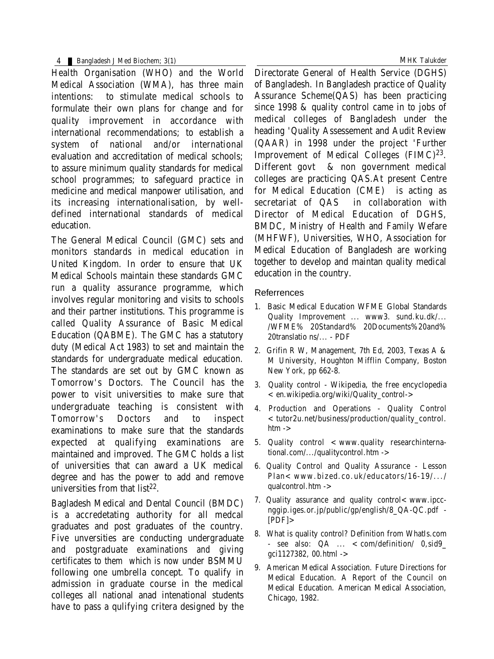4 Bangladesh J Med Biochem; 3(1) MHK Talukder

Health Organisation (WHO) and the World Medical Association (WMA), has three main intentions: to stimulate medical schools to formulate their own plans for change and for quality improvement in accordance with international recommendations; to establish a system of national and/or international evaluation and accreditation of medical schools; to assure minimum quality standards for medical school programmes; to safeguard practice in medicine and medical manpower utilisation, and its increasing internationalisation, by welldefined international standards of medical education.

The General Medical Council (GMC) sets and monitors standards in medical education in United Kingdom. In order to ensure that UK Medical Schools maintain these standards GMC run a quality assurance programme, which involves regular monitoring and visits to schools and their partner institutions. This programme is called Quality Assurance of Basic Medical Education (QABME). The GMC has a statutory duty (Medical Act 1983) to set and maintain the standards for undergraduate medical education. The standards are set out by GMC known as Tomorrow's Doctors. The Council has the power to visit universities to make sure that undergraduate teaching is consistent with Tomorrow's Doctors and to inspect examinations to make sure that the standards expected at qualifying examinations are maintained and improved. The GMC holds a list of universities that can award a UK medical degree and has the power to add and remove universities from that list 22.

Bagladesh Medical and Dental Council (BMDC) is a accredetating authority for all medcal graduates and post graduates of the country. Five unversities are conducting undergraduate and postgraduate examinations and giving certificates to them which is now under BSMMU following one umbrella concept. To qualify in admission in graduate course in the medical colleges all national anad intenational students have to pass a qulifying critera designed by the Directorate General of Health Service (DGHS) of Bangladesh. In Bangladesh practice of Quality Assurance Scheme(QAS) has been practicing since 1998 & quality control came in to jobs of medical colleges of Bangladesh under the heading 'Quality Assessement and Audit Review (QAAR) in 1998 under the project 'Further Improvement of Medical Colleges (FIMC)23. Different govt & non government medical colleges are practicing QAS.At present Centre for Medical Education (CME) is acting as secretariat of QAS in collaboration with Director of Medical Education of DGHS, BMDC, Ministry of Health and Family Wefare (MHFWF), Universities, WHO, Association for Medical Education of Bangladesh are working together to develop and maintan quality medical education in the country.

## Referrences

- 1. Basic Medical Education WFME Global Standards Quality Improvement ... www3. sund.ku.dk/... /WFME% 20Standard% 20Documents%20and% 20translatio ns/... - PDF
- 2. Grifin R W, Management, 7th Ed, 2003, Texas A & M University, Houghton Mifflin Company, Boston New York, pp 662-8.
- 3. Quality control Wikipedia, the free encyclopedia <en.wikipedia.org/wiki/Quality\_control->
- 4. Production and Operations Quality Control <tutor2u.net/business/production/quality\_control.  $h$ tm  $\rightarrow$
- 5. Quality control  $<$  www.quality researchinternational.com/.../qualitycontrol.htm ->
- 6. Quality Control and Quality Assurance Lesson Plan< www.bized.co.uk/educators/16-19/.../ qualcontrol.htm  $\rightarrow$
- 7. Quality assurance and quality control<www.ipccnggip.iges.or.jp/public/gp/english/8\_QA-QC.pdf -  $[PDF] >$
- 8. What is quality control? Definition from WhatIs.com - see also:  $QA$  ...  $<$  com/definition/  $0$ ,sid9 gci1127382, 00.html ->
- 9. American Medical Association. Future Directions for Medical Education. A Report of the Council on Medical Education. American Medical Association, Chicago, 1982.